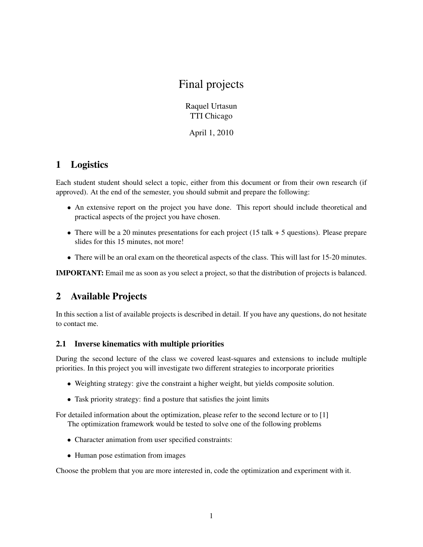# Final projects

Raquel Urtasun TTI Chicago

April 1, 2010

## 1 Logistics

Each student student should select a topic, either from this document or from their own research (if approved). At the end of the semester, you should submit and prepare the following:

- An extensive report on the project you have done. This report should include theoretical and practical aspects of the project you have chosen.
- There will be a 20 minutes presentations for each project  $(15 \text{ talk} + 5 \text{ questions})$ . Please prepare slides for this 15 minutes, not more!
- There will be an oral exam on the theoretical aspects of the class. This will last for 15-20 minutes.

IMPORTANT: Email me as soon as you select a project, so that the distribution of projects is balanced.

### 2 Available Projects

In this section a list of available projects is described in detail. If you have any questions, do not hesitate to contact me.

#### 2.1 Inverse kinematics with multiple priorities

During the second lecture of the class we covered least-squares and extensions to include multiple priorities. In this project you will investigate two different strategies to incorporate priorities

- Weighting strategy: give the constraint a higher weight, but yields composite solution.
- Task priority strategy: find a posture that satisfies the joint limits

For detailed information about the optimization, please refer to the second lecture or to [1] The optimization framework would be tested to solve one of the following problems

- Character animation from user specified constraints:
- Human pose estimation from images

Choose the problem that you are more interested in, code the optimization and experiment with it.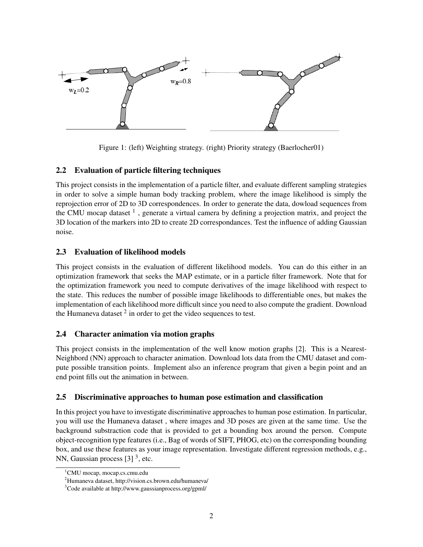

Figure 1: (left) Weighting strategy. (right) Priority strategy (Baerlocher01)

#### 2.2 Evaluation of particle filtering techniques

This project consists in the implementation of a particle filter, and evaluate different sampling strategies in order to solve a simple human body tracking problem, where the image likelihood is simply the reprojection error of 2D to 3D correspondences. In order to generate the data, dowload sequences from the CMU mocap dataset  $<sup>1</sup>$ , generate a virtual camera by defining a projection matrix, and project the</sup> 3D location of the markers into 2D to create 2D correspondances. Test the influence of adding Gaussian noise.

#### 2.3 Evaluation of likelihood models

This project consists in the evaluation of different likelihood models. You can do this either in an optimization framework that seeks the MAP estimate, or in a particle filter framework. Note that for the optimization framework you need to compute derivatives of the image likelihood with respect to the state. This reduces the number of possible image likelihoods to differentiable ones, but makes the implementation of each likelihood more difficult since you need to also compute the gradient. Download the Humaneva dataset  $2$  in order to get the video sequences to test.

#### 2.4 Character animation via motion graphs

This project consists in the implementation of the well know motion graphs [2]. This is a Nearest-Neighbord (NN) approach to character animation. Download lots data from the CMU dataset and compute possible transition points. Implement also an inference program that given a begin point and an end point fills out the animation in between.

#### 2.5 Discriminative approaches to human pose estimation and classification

In this project you have to investigate discriminative approaches to human pose estimation. In particular, you will use the Humaneva dataset , where images and 3D poses are given at the same time. Use the background substraction code that is provided to get a bounding box around the person. Compute object-recognition type features (i.e., Bag of words of SIFT, PHOG, etc) on the corresponding bounding box, and use these features as your image representation. Investigate different regression methods, e.g., NN, Gaussian process  $[3]$ <sup>3</sup>, etc.

<sup>&</sup>lt;sup>1</sup>CMU mocap, mocap.cs.cmu.edu

<sup>2</sup>Humaneva dataset, http://vision.cs.brown.edu/humaneva/

<sup>3</sup>Code available at http://www.gaussianprocess.org/gpml/